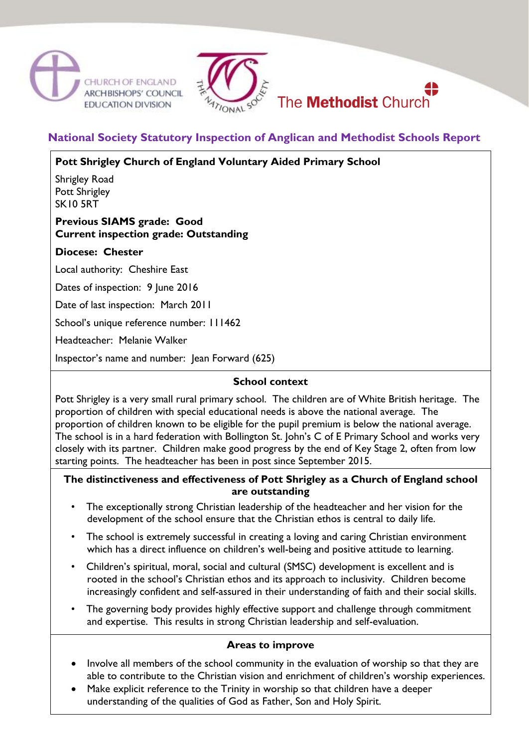





# **National Society Statutory Inspection of Anglican and Methodist Schools Report**

**Pott Shrigley Church of England Voluntary Aided Primary School**

Shrigley Road Pott Shrigley SK10 5RT

## **Previous SIAMS grade: Good Current inspection grade: Outstanding**

## **Diocese: Chester**

Local authority: Cheshire East

Dates of inspection: 9 June 2016

Date of last inspection: March 2011

School's unique reference number: 111462

Headteacher: Melanie Walker

Inspector's name and number: Jean Forward (625)

## **School context**

Pott Shrigley is a very small rural primary school. The children are of White British heritage. The proportion of children with special educational needs is above the national average. The proportion of children known to be eligible for the pupil premium is below the national average. The school is in a hard federation with Bollington St. John's C of E Primary School and works very closely with its partner. Children make good progress by the end of Key Stage 2, often from low starting points. The headteacher has been in post since September 2015.

### **The distinctiveness and effectiveness of Pott Shrigley as a Church of England school are outstanding**

- The exceptionally strong Christian leadership of the headteacher and her vision for the development of the school ensure that the Christian ethos is central to daily life.
- The school is extremely successful in creating a loving and caring Christian environment which has a direct influence on children's well-being and positive attitude to learning.
- Children's spiritual, moral, social and cultural (SMSC) development is excellent and is rooted in the school's Christian ethos and its approach to inclusivity. Children become increasingly confident and self-assured in their understanding of faith and their social skills.
- The governing body provides highly effective support and challenge through commitment and expertise. This results in strong Christian leadership and self-evaluation.

#### **Areas to improve**

- Involve all members of the school community in the evaluation of worship so that they are able to contribute to the Christian vision and enrichment of children's worship experiences.
- Make explicit reference to the Trinity in worship so that children have a deeper understanding of the qualities of God as Father, Son and Holy Spirit.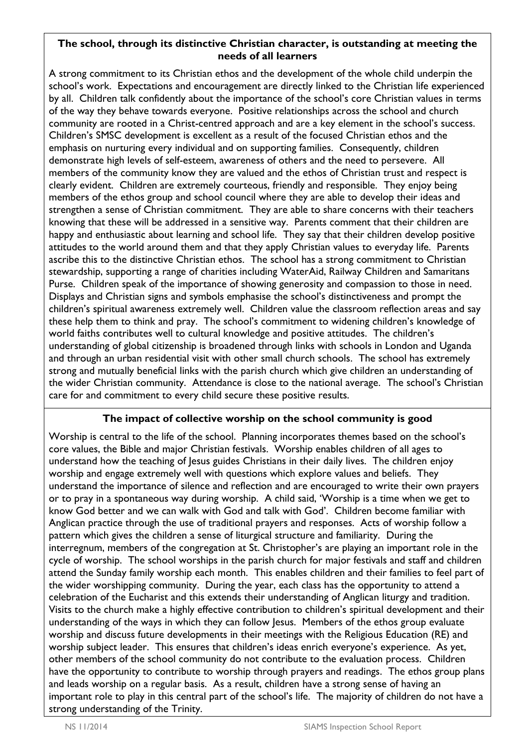#### **The school, through its distinctive Christian character, is outstanding at meeting the needs of all learners**

A strong commitment to its Christian ethos and the development of the whole child underpin the school's work. Expectations and encouragement are directly linked to the Christian life experienced by all. Children talk confidently about the importance of the school's core Christian values in terms of the way they behave towards everyone. Positive relationships across the school and church community are rooted in a Christ-centred approach and are a key element in the school's success. Children's SMSC development is excellent as a result of the focused Christian ethos and the emphasis on nurturing every individual and on supporting families. Consequently, children demonstrate high levels of self-esteem, awareness of others and the need to persevere. All members of the community know they are valued and the ethos of Christian trust and respect is clearly evident. Children are extremely courteous, friendly and responsible. They enjoy being members of the ethos group and school council where they are able to develop their ideas and strengthen a sense of Christian commitment. They are able to share concerns with their teachers knowing that these will be addressed in a sensitive way. Parents comment that their children are happy and enthusiastic about learning and school life. They say that their children develop positive attitudes to the world around them and that they apply Christian values to everyday life. Parents ascribe this to the distinctive Christian ethos. The school has a strong commitment to Christian stewardship, supporting a range of charities including WaterAid, Railway Children and Samaritans Purse. Children speak of the importance of showing generosity and compassion to those in need. Displays and Christian signs and symbols emphasise the school's distinctiveness and prompt the children's spiritual awareness extremely well. Children value the classroom reflection areas and say these help them to think and pray. The school's commitment to widening children's knowledge of world faiths contributes well to cultural knowledge and positive attitudes. The children's understanding of global citizenship is broadened through links with schools in London and Uganda and through an urban residential visit with other small church schools. The school has extremely strong and mutually beneficial links with the parish church which give children an understanding of the wider Christian community. Attendance is close to the national average. The school's Christian care for and commitment to every child secure these positive results.

## **The impact of collective worship on the school community is good**

Worship is central to the life of the school. Planning incorporates themes based on the school's core values, the Bible and major Christian festivals. Worship enables children of all ages to understand how the teaching of Jesus guides Christians in their daily lives. The children enjoy worship and engage extremely well with questions which explore values and beliefs. They understand the importance of silence and reflection and are encouraged to write their own prayers or to pray in a spontaneous way during worship. A child said, 'Worship is a time when we get to know God better and we can walk with God and talk with God'. Children become familiar with Anglican practice through the use of traditional prayers and responses. Acts of worship follow a pattern which gives the children a sense of liturgical structure and familiarity. During the interregnum, members of the congregation at St. Christopher's are playing an important role in the cycle of worship. The school worships in the parish church for major festivals and staff and children attend the Sunday family worship each month. This enables children and their families to feel part of the wider worshipping community. During the year, each class has the opportunity to attend a celebration of the Eucharist and this extends their understanding of Anglican liturgy and tradition. Visits to the church make a highly effective contribution to children's spiritual development and their understanding of the ways in which they can follow Jesus. Members of the ethos group evaluate worship and discuss future developments in their meetings with the Religious Education (RE) and worship subject leader. This ensures that children's ideas enrich everyone's experience. As yet, other members of the school community do not contribute to the evaluation process. Children have the opportunity to contribute to worship through prayers and readings. The ethos group plans and leads worship on a regular basis. As a result, children have a strong sense of having an important role to play in this central part of the school's life. The majority of children do not have a strong understanding of the Trinity.